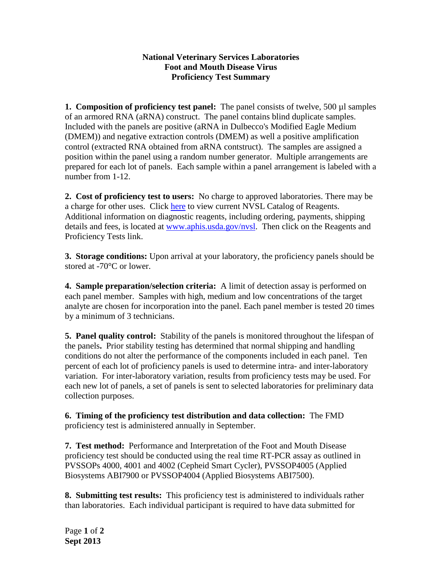## **National Veterinary Services Laboratories Foot and Mouth Disease Virus Proficiency Test Summary**

**1. Composition of proficiency test panel:** The panel consists of twelve, 500 µl samples of an armored RNA (aRNA) construct. The panel contains blind duplicate samples. Included with the panels are positive (aRNA in Dulbecco's Modified Eagle Medium (DMEM)) and negative extraction controls (DMEM) as well a positive amplification control (extracted RNA obtained from aRNA contstruct). The samples are assigned a position within the panel using a random number generator. Multiple arrangements are prepared for each lot of panels. Each sample within a panel arrangement is labeled with a number from 1-12.

**2. Cost of proficiency test to users:** No charge to approved laboratories. There may be a charge for other uses. Click [here](http://www.aphis.usda.gov/animal_health/lab_info_services/downloads/AmesReagentManualCurrent.pdf) to view current NVSL Catalog of Reagents. Additional information on diagnostic reagents, including ordering, payments, shipping details and fees, is located at [www.aphis.usda.gov/nvsl.](http://www.aphis.usda.gov/nvsl) Then click on the Reagents and Proficiency Tests link.

**3. Storage conditions:** Upon arrival at your laboratory, the proficiency panels should be stored at -70°C or lower.

**4. Sample preparation/selection criteria:** A limit of detection assay is performed on each panel member.Samples with high, medium and low concentrations of the target analyte are chosen for incorporation into the panel. Each panel member is tested 20 times by a minimum of 3 technicians.

**5. Panel quality control:** Stability of the panels is monitored throughout the lifespan of the panels**.** Prior stability testing has determined that normal shipping and handling conditions do not alter the performance of the components included in each panel. Ten percent of each lot of proficiency panels is used to determine intra- and inter-laboratory variation. For inter-laboratory variation, results from proficiency tests may be used. For each new lot of panels, a set of panels is sent to selected laboratories for preliminary data collection purposes.

**6. Timing of the proficiency test distribution and data collection:** The FMD proficiency test is administered annually in September.

**7. Test method:** Performance and Interpretation of the Foot and Mouth Disease proficiency test should be conducted using the real time RT-PCR assay as outlined in PVSSOPs 4000, 4001 and 4002 (Cepheid Smart Cycler), PVSSOP4005 (Applied Biosystems ABI7900 or PVSSOP4004 (Applied Biosystems ABI7500).

**8. Submitting test results:** This proficiency test is administered to individuals rather than laboratories. Each individual participant is required to have data submitted for